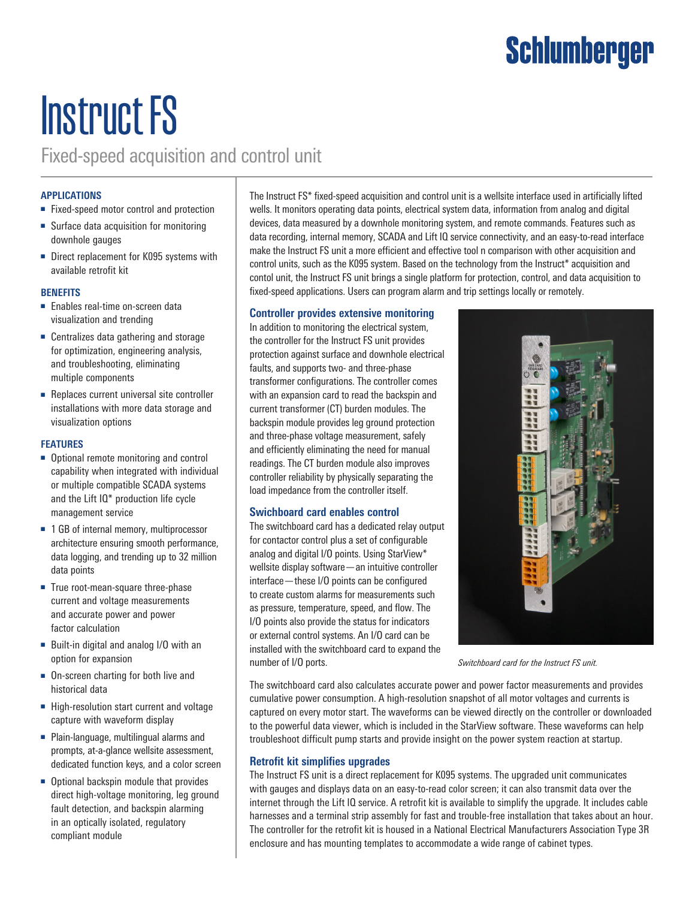## **Schlumberger**

# Instruct FS

Fixed-speed acquisition and control unit

#### **APPLICATIONS**

- Fixed-speed motor control and protection
- Surface data acquisition for monitoring downhole gauges
- Direct replacement for K095 systems with available retrofit kit

#### **BENEFITS**

- Enables real-time on-screen data visualization and trending
- Centralizes data gathering and storage for optimization, engineering analysis, and troubleshooting, eliminating multiple components
- Replaces current universal site controller installations with more data storage and visualization options

#### **FEATURES**

- Optional remote monitoring and control capability when integrated with individual or multiple compatible SCADA systems and the Lift IQ\* production life cycle management service
- 1 GB of internal memory, multiprocessor architecture ensuring smooth performance, data logging, and trending up to 32 million data points
- True root-mean-square three-phase current and voltage measurements and accurate power and power factor calculation
- Built-in digital and analog I/O with an option for expansion
- On-screen charting for both live and historical data
- High-resolution start current and voltage capture with waveform display
- Plain-language, multilingual alarms and prompts, at-a-glance wellsite assessment, dedicated function keys, and a color screen
- Optional backspin module that provides direct high-voltage monitoring, leg ground fault detection, and backspin alarming in an optically isolated, regulatory compliant module

The Instruct FS\* fixed-speed acquisition and control unit is a wellsite interface used in artificially lifted wells. It monitors operating data points, electrical system data, information from analog and digital devices, data measured by a downhole monitoring system, and remote commands. Features such as data recording, internal memory, SCADA and Lift IQ service connectivity, and an easy-to-read interface make the Instruct FS unit a more efficient and effective tool n comparison with other acquisition and control units, such as the K095 system. Based on the technology from the Instruct\* acquisition and contol unit, the Instruct FS unit brings a single platform for protection, control, and data acquisition to fixed-speed applications. Users can program alarm and trip settings locally or remotely.

#### **Controller provides extensive monitoring**

In addition to monitoring the electrical system, the controller for the Instruct FS unit provides protection against surface and downhole electrical faults, and supports two- and three-phase transformer configurations. The controller comes with an expansion card to read the backspin and current transformer (CT) burden modules. The backspin module provides leg ground protection and three-phase voltage measurement, safely and efficiently eliminating the need for manual readings. The CT burden module also improves controller reliability by physically separating the load impedance from the controller itself.

#### **Swichboard card enables control**

The switchboard card has a dedicated relay output for contactor control plus a set of configurable analog and digital I/O points. Using StarView\* wellsite display software—an intuitive controller interface—these I/O points can be configured to create custom alarms for measurements such as pressure, temperature, speed, and flow. The I/O points also provide the status for indicators or external control systems. An I/O card can be installed with the switchboard card to expand the number of I/O ports.



*Switchboard card for the Instruct FS unit.*

The switchboard card also calculates accurate power and power factor measurements and provides cumulative power consumption. A high-resolution snapshot of all motor voltages and currents is captured on every motor start. The waveforms can be viewed directly on the controller or downloaded to the powerful data viewer, which is included in the StarView software. These waveforms can help troubleshoot difficult pump starts and provide insight on the power system reaction at startup.

### **Retrofit kit simplifies upgrades**

The Instruct FS unit is a direct replacement for K095 systems. The upgraded unit communicates with gauges and displays data on an easy-to-read color screen; it can also transmit data over the internet through the Lift IQ service. A retrofit kit is available to simplify the upgrade. It includes cable harnesses and a terminal strip assembly for fast and trouble-free installation that takes about an hour. The controller for the retrofit kit is housed in a National Electrical Manufacturers Association Type 3R enclosure and has mounting templates to accommodate a wide range of cabinet types.